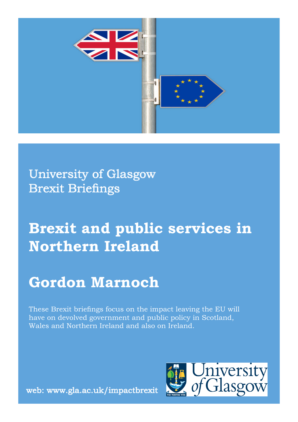

University of Glasgow Brexit Briefings

# **Brexit and public services in Northern Ireland**

## **Gordon Marnoch**

These Brexit briefings focus on the impact leaving the EU will have on devolved government and public policy in Scotland, Wales and Northern Ireland and also on Ireland.



web: www.gla.ac.uk/impactbrexit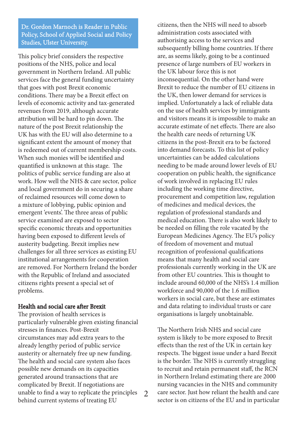Dr. Gordon Marnoch is Reader in Public Policy, School of Applied Social and Policy Studies, Ulster University.

This policy brief considers the respective positions of the NHS, police and local government in Northern Ireland. All public services face the general funding uncertainty that goes with post Brexit economic conditions. There may be a Brexit effect on levels of economic activity and tax-generated revenues from 2019, although accurate attribution will be hard to pin down. The nature of the post Brexit relationship the UK has with the EU will also determine to a significant extent the amount of money that is redeemed out of current membership costs. When such monies will be identified and quantified is unknown at this stage. The politics of public service funding are also at work. How well the NHS & care sector, police and local government do in securing a share of reclaimed resources will come down to a mixture of lobbying, public opinion and emergent 'events'. The three areas of public service examined are exposed to sector specific economic threats and opportunities having been exposed to different levels of austerity budgeting. Brexit implies new challenges for all three services as existing EU institutional arrangements for cooperation are removed. For Northern Ireland the border with the Republic of Ireland and associated citizens rights present a special set of problems.

## Health and social care after Brexit

The provision of health services is particularly vulnerable given existing financial stresses in finances. Post-Brexit circumstances may add extra years to the already lengthy period of public service austerity or alternately free up new funding. The health and social care system also faces possible new demands on its capacities generated around transactions that are complicated by Brexit. If negotiations are unable to find a way to replicate the principles behind current systems of treating EU

 $\mathcal{L}$ 

citizens, then the NHS will need to absorb administration costs associated with authorising access to the services and subsequently billing home countries. If there are, as seems likely, going to be a continued presence of large numbers of EU workers in the UK labour force this is not inconsequential. On the other hand were Brexit to reduce the number of EU citizens in the UK, then lower demand for services is implied. Unfortunately a lack of reliable data on the use of health services by immigrants and visitors means it is impossible to make an accurate estimate of net effects. There are also the health care needs of returning UK citizens in the post-Brexit era to be factored into demand forecasts. To this list of policy uncertainties can be added calculations needing to be made around lower levels of EU cooperation on public health, the significance of work involved in replacing EU rules including the working time directive, procurement and competition law, regulation of medicines and medical devices, the regulation of professional standards and medical education. There is also work likely to be needed on filling the role vacated by the European Medicines Agency. The EU's policy of freedom of movement and mutual recognition of professional qualifications means that many health and social care professionals currently working in the UK are from other EU countries. This is thought to include around 60,000 of the NHS's 1.4 million workforce and 90,000 of the 1.6 million workers in social care, but these are estimates and data relating to individual trusts or care organisations is largely unobtainable.

The Northern Irish NHS and social care system is likely to be more exposed to Brexit effects than the rest of the UK in certain key respects. The biggest issue under a hard Brexit is the border. The NHS is currently struggling to recruit and retain permanent staff, the RCN in Northern Ireland estimating there are 2000 nursing vacancies in the NHS and community care sector. Just how reliant the health and care sector is on citizens of the EU and in particular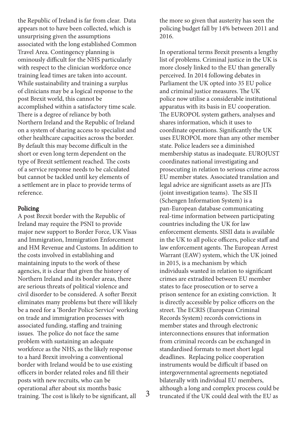the Republic of Ireland is far from clear. Data appears not to have been collected, which is II<br>unsurprising given the assumptions 3 May 2017 The basic structure of the negotiation of the negotiation of the negotiation of the negotiation of the negotiation of the negotiation of the negotiation of the negotiation of the negotiation of the negotiation o associated with the long established Common Travel Area. Contingency planning is ominously difficult for the NHS particularly with respect to the clinician workforce once training lead times are taken into account.  $i$ <sup>o</sup>  $j$  the final decision to  $j$  the decision  $j$  approximately the decision of  $j$  and  $k$ While sustainability and training a surplus<br>Calimbus of clinicians may be a logical response to the post Brexit world, this cannot be accomplished within a satisfactory time scale. There is a degree of reliance by both Northern Ireland and the Republic of Ireland  $t_0$  to the endure and the respective of frequencies  $\frac{t}{t_0}$ on a system of sharing access to specialist and By default this may become difficult in the short or even long term dependent on the type of Brexit settlement reached. The costs  $\alpha$  for convice represented to be calculated. of a service response needs to be calculated but cannot be tackled until key elements of a settlement are in place to provide terms of reference. other healthcare capacities across the border.

#### $\mathbf{p}_0$ licing. Finally, depending on  $\mathbf{p}_0$ Policing

 $\lambda$  is in the agreement, ratification may re-A post Brexit border with the Republic of Ireland may require the PSNI to provide major new support to Border Force, UK Visas and Immigration, Immigration Enforcement and HM Revenue and Customs. In addition to  $t_{\rm b}$  a costs involved in ostablishing and the costs involved in establishing and maintaining inputs to the work of these agencies, it is clear that given the history of Northern Ireland and its border areas, there are serious threats of political violence and civil disorder to be considered. A softer Brexit trade de de con eliminates many problems but there will likely be a need for a 'Border Police Service' working on trade and immigration processes with associated funding, staffing and training issues. The police do not face the same  $\frac{1}{2}$ problem with sustaining an adequate workforce as the NHS, as the likely response to a hard Brexit involving a conventional border with Ireland would be to use existing officers in border related roles and fill their posts with new recruits, who can be operational after about six months basic training. The cost is likely to be significant, all  $\frac{3}{3}$ 

the more so given that austerity has seen the policing budget fall by 14% between 2011 and 2016.

In operational terms Brexit presents a lengthy list of problems. Criminal justice in the UK is more closely linked to the EU than generally perceived. In 2014 following debates in Parliament the UK opted into 35 EU police and criminal justice measures. The UK police now utilise a considerable institutional apparatus with its basis in EU cooperation. The EUROPOL system gathers, analyses and shares information, which it uses to coordinate operations. Significantly the UK uses EUROPOL more than any other member state. Police leaders see a diminished membership status as inadequate. EUROJUST coordinates national investigating and prosecuting in relation to serious crime across EU member states. Associated translation and legal advice are significant assets as are JITs (joint investigation teams). The SIS II (Schengen Information System) is a pan-European database communicating real-time information between participating countries including the UK for law enforcement elements. SISII data is available in the UK to all police officers, police staff and law enforcement agents. The European Arrest Warrant (EAW) system, which the UK joined in 2015, is a mechanism by which individuals wanted in relation to significant crimes are extradited between EU member states to face prosecution or to serve a prison sentence for an existing conviction. It is directly accessible by police officers on the street. The ECRIS (European Criminal Records System) records convictions in member states and through electronic interconnections ensures that information from criminal records can be exchanged in standardised formats to meet short legal deadlines. Replacing police cooperation instruments would be difficult if based on intergovernmental agreements negotiated bilaterally with individual EU members, although a long and complex process could be truncated if the UK could deal with the EU as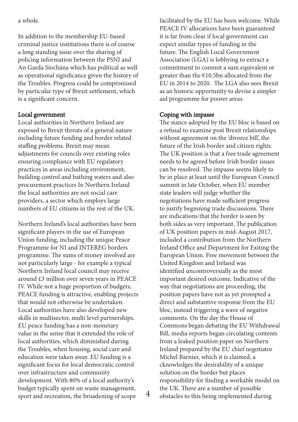a whole.

In addition to the membership EU-based criminal justice institutions there is of course a long standing issue over the sharing of policing information between the PSNI and An Garda Síochána which has political as well as operational significance given the history of the Troubles. Progress could be compromised by particular type of Brexit settlement, which is a significant concern.

## Local government

Local authorities in Northern Ireland are exposed to Brexit threats of a general nature including future funding and border related staffing problems. Brexit may mean adjustments for councils over existing roles ensuring compliance with EU regulatory practices in areas including environment, building control and bathing waters and also procurement practices In Northern Ireland the local authorities are not social care providers, a sector which employs large numbers of EU citizens in the rest of the UK.

Northern Ireland's local authorities have been significant players in the use of European Union funding, including the unique Peace Programme for NI and INTEREG borders programme. The sums of money involved are not particularly large - for example a typical Northern Ireland local council may receive around £3 million over seven years in PEACE IV. While not a huge proportion of budgets, PEACE funding is attractive, enabling projects that would not otherwise be undertaken. Local authorities have also developed new skills in multisector, multi level partnerships. EU peace funding has a non-monetary value in the sense that it extended the role of local authorities, which diminished during the Troubles, when housing, social care and education were taken away. EU funding is a significant focus for local democratic control over infrastructure and community development. With 80% of a local authority's budget typically spent on waste management, sport and recreation, the broadening of scope

facilitated by the EU has been welcome. While PEACE IV allocations have been guaranteed it is far from clear if local government can expect similar types of funding in the future. The English Local Government Association (LGA) is lobbying to extract a commitment to commit a sum equivalent or greater than the €10.5bn allocated from the EU in 2014 to 2020. The LGA also sees Brexit as an historic opportunity to devise a simpler aid programme for poorer areas.

## Coping with impasse

The stance adopted by the EU bloc is based on a refusal to examine post Brexit relationships without agreement on the 'divorce bill', the future of the Irish border and citizen rights. The UK position is that a free trade agreement needs to be agreed before Irish border issues can be resolved. The impasse seems likely to be in place at least until the European Council summit in late October, when EU member state leaders will judge whether the negotiations have made sufficient progress to justify beginning trade discussions. There are indications that the border is seen by both sides as very important. The publication of UK position papers in mid-August 2017, included a contribution from the Northern Ireland Office and Department for Exiting the European Union. Free movement between the United Kingdom and Ireland was identified uncontroversially as the most important desired outcome. Indicative of the way that negotiations are proceeding, the position papers have not as yet prompted a direct and substantive response from the EU bloc, instead triggering a wave of negative comments. On the day the House of Commons began debating the EU Withdrawal Bill, media reports began circulating contents from a leaked position paper on Northern Ireland prepared by the EU chief negotiator Michel Barnier, which it is claimed, a cknowledges the desirability of a unique solution on the border but places responsibility for finding a workable model on the UK. There are a number of possible<br>4 obstacles to this being implemented during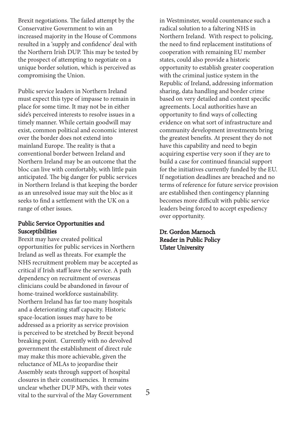Brexit negotiations. The failed attempt by the Conservative Government to win an increased majority in the House of Commons resulted in a 'supply and confidence' deal with the Northern Irish DUP. This may be tested by the prospect of attempting to negotiate on a unique border solution, which is perceived as compromising the Union.

Public service leaders in Northern Ireland must expect this type of impasse to remain in place for some time. It may not be in either side's perceived interests to resolve issues in a timely manner. While certain goodwill may exist, common political and economic interest over the border does not extend into mainland Europe. The reality is that a conventional border between Ireland and Northern Ireland may be an outcome that the bloc can live with comfortably, with little pain anticipated. The big danger for public services in Northern Ireland is that keeping the border as an unresolved issue may suit the bloc as it seeks to find a settlement with the UK on a range of other issues.

### Public Service Opportunities and Susceptibilities

Brexit may have created political opportunities for public services in Northern Ireland as well as threats. For example the NHS recruitment problem may be accepted as critical if Irish staff leave the service. A path dependency on recruitment of overseas clinicians could be abandoned in favour of home-trained workforce sustainability. Northern Ireland has far too many hospitals and a deteriorating staff capacity. Historic space-location issues may have to be addressed as a priority as service provision is perceived to be stretched by Brexit beyond breaking point. Currently with no devolved government the establishment of direct rule may make this more achievable, given the reluctance of MLAs to jeopardise their Assembly seats through support of hospital closures in their constituencies. It remains unclear whether DUP MPs, with their votes vital to the survival of the May Government

in Westminster, would countenance such a radical solution to a faltering NHS in Northern Ireland. With respect to policing, the need to find replacement institutions of cooperation with remaining EU member states, could also provide a historic opportunity to establish greater cooperation with the criminal justice system in the Republic of Ireland, addressing information sharing, data handling and border crime based on very detailed and context specific agreements. Local authorities have an opportunity to find ways of collecting evidence on what sort of infrastructure and community development investments bring the greatest benefits. At present they do not have this capability and need to begin acquiring expertise very soon if they are to build a case for continued financial support for the initiatives currently funded by the EU. If negotiation deadlines are breached and no terms of reference for future service provision are established then contingency planning becomes more difficult with public service leaders being forced to accept expediency over opportunity.

Dr. Gordon Marnoch Reader in Public Policy Ulster University